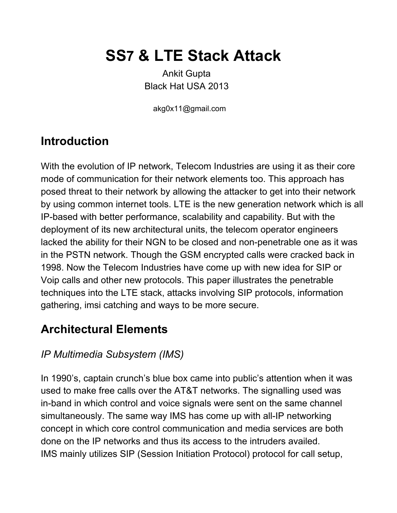# **SS7 & LTE Stack Attack**

Ankit Gupta Black Hat USA 2013

akg0x11@gmail.com

# **Introduction**

With the evolution of IP network, Telecom Industries are using it as their core mode of communication for their network elements too. This approach has posed threat to their network by allowing the attacker to get into their network by using common internet tools. LTE is the new generation network which is all IP-based with better performance, scalability and capability. But with the deployment of its new architectural units, the telecom operator engineers lacked the ability for their NGN to be closed and non-penetrable one as it was in the PSTN network. Though the GSM encrypted calls were cracked back in 1998. Now the Telecom Industries have come up with new idea for SIP or Voip calls and other new protocols. This paper illustrates the penetrable techniques into the LTE stack, attacks involving SIP protocols, information gathering, imsi catching and ways to be more secure.

# **Architectural Elements**

#### *IP Multimedia Subsystem (IMS)*

In 1990's, captain crunch's blue box came into public's attention when it was used to make free calls over the AT&T networks. The signalling used was in-band in which control and voice signals were sent on the same channel simultaneously. The same way IMS has come up with all-IP networking concept in which core control communication and media services are both done on the IP networks and thus its access to the intruders availed. IMS mainly utilizes SIP (Session Initiation Protocol) protocol for call setup,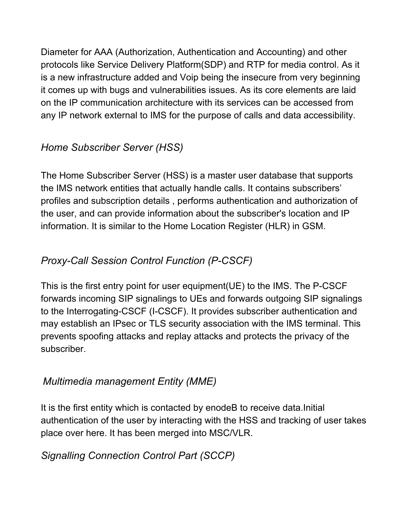Diameter for AAA (Authorization, Authentication and Accounting) and other protocols like Service Delivery Platform(SDP) and RTP for media control. As it is a new infrastructure added and Voip being the insecure from very beginning it comes up with bugs and vulnerabilities issues. As its core elements are laid on the IP communication architecture with its services can be accessed from any IP network external to IMS for the purpose of calls and data accessibility.

### *Home Subscriber Server (HSS)*

The Home Subscriber Server (HSS) is a master use[r](https://www.google.com/url?q=https%3A%2F%2Fen.wikipedia.org%2Fwiki%2FDatabase&sa=D&sntz=1&usg=AFQjCNFzqMNZzqcObjXdxuLVMG382pj22Q) database that supports the IMS network entities that actually handl[e](https://www.google.com/url?q=https%3A%2F%2Fen.wikipedia.org%2Fwiki%2FTelecommunication&sa=D&sntz=1&usg=AFQjCNFD24cx9kBMv1VddHDjRJjXzWlf6w) calls. It contains subscribers' profiles and subscription details , performs authentication and authorization of the user, and can provide information about the subscriber's location and IP information. It is similar to the Home Location Register (HLR) in GSM.

### *ProxyCall Session Control Function (PCSCF)*

This is the first entry point for user equipment (UE) to the IMS. The P-CSCF forwards incoming SIP signalings to UEs and forwards outgoing SIP signalings to the Interrogating-CSCF (I-CSCF). It provides subscriber authentication and may establish an IPsec or TLS security association with the IMS terminal. This prevents spoofing attacks and replay attacks and protects the privacy of the subscriber.

### *Multimedia management Entity (MME)*

It is the first entity which is contacted by enodeB to receive data.Initial authentication of the user by interacting with the HSS and tracking of user takes place over here. It has been merged into MSC/VLR.

### *Signalling Connection Control Part (SCCP)*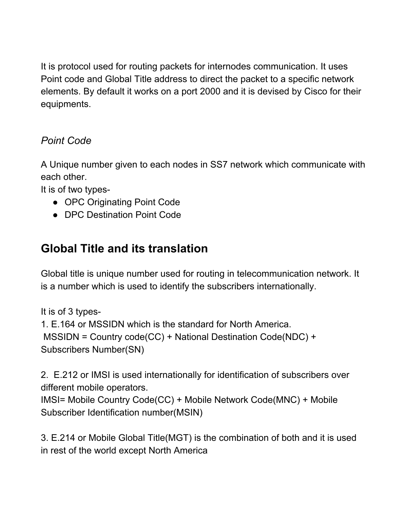It is protocol used for routing packets for internodes communication. It uses Point code and Global Title address to direct the packet to a specific network elements. By default it works on a port 2000 and it is devised by Cisco for their equipments.

#### *Point Code*

A Unique number given to each nodes in SS7 network which communicate with each other.

It is of two types

- OPC Originating Point Code
- DPC Destination Point Code

# **Global Title and its translation**

Global title is unique number used for routing in telecommunication network. It is a number which is used to identify the subscribers internationally.

It is of 3 types-1. E.164 or MSSIDN which is the standard for North America. MSSIDN = Country code(CC) + National Destination Code(NDC) + Subscribers Number(SN)

2. E.212 or IMSI is used internationally for identification of subscribers over different mobile operators.

```
IMSI= Mobile Country Code(CC) + Mobile Network Code(MNC) + Mobile
Subscriber Identification number(MSIN)
```
3. E.214 or Mobile Global Title(MGT) is the combination of both and it is used in rest of the world except North America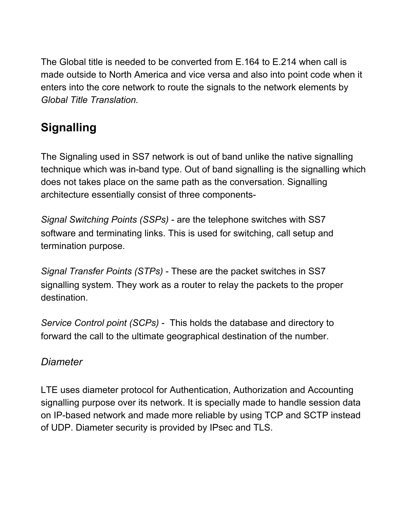The Global title is needed to be converted from E.164 to E.214 when call is made outside to North America and vice versa and also into point code when it enters into the core network to route the signals to the network elements by *Global Title Translation.*

# **Signalling**

The Signaling used in SS7 network is out of band unlike the native signalling technique which was in-band type. Out of band signalling is the signalling which does not takes place on the same path as the conversation. Signalling architecture essentially consist of three components-

*Signal Switching Points (SSPs)* are the telephone switches with SS7 software and terminating links. This is used for switching, call setup and termination purpose.

*Signal Transfer Points (STPs)* These are the packet switches in SS7 signalling system. They work as a router to relay the packets to the proper destination.

*Service Control point (SCPs)* This holds the database and directory to forward the call to the ultimate geographical destination of the number.

#### *Diameter*

LTE uses diameter protocol for Authentication, Authorization and Accounting signalling purpose over its network. It is specially made to handle session data on IP-based network and made more reliable by using TCP and SCTP instead of UDP. Diameter security is provided by IPsec and TLS.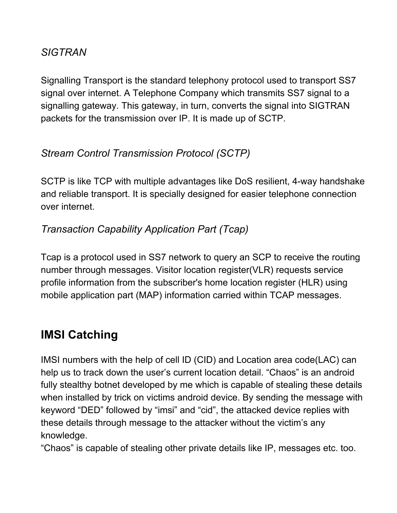#### *SIGTRAN*

Signalling Transport is the standard telephony protocol used to transport SS7 signal over internet. A Telephone Company which transmits SS7 signal to a signalling gateway. This gateway, in turn, converts the signal into SIGTRAN packets for the transmission over IP. It is made up of SCTP.

#### *Stream Control Transmission Protocol (SCTP)*

SCTP is like TCP with multiple advantages like DoS resilient, 4-way handshake and reliable transport. It is specially designed for easier telephone connection over internet.

#### *Transaction Capability Application Part (Tcap)*

Tcap is a protocol used in SS7 network to query an SCP to receive the routing number through messages. Visitor location register(VLR) requests service profile information from the subscriber's home location register (HLR) using mobile application part (MAP) information carried within TCAP messages.

# **IMSI Catching**

IMSI numbers with the help of cell ID (CID) and Location area code(LAC) can help us to track down the user's current location detail. "Chaos" is an android fully stealthy botnet developed by me which is capable of stealing these details when installed by trick on victims android device. By sending the message with keyword "DED" followed by "imsi" and "cid", the attacked device replies with these details through message to the attacker without the victim's any knowledge.

"Chaos" is capable of stealing other private details like IP, messages etc. too.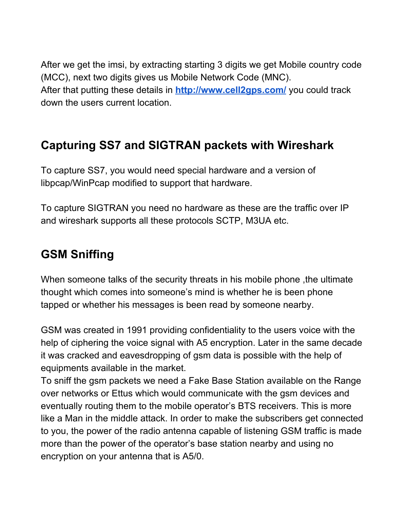After we get the imsi, by extracting starting 3 digits we get Mobile country code (MCC), next two digits gives us Mobile Network Code (MNC). After that putting these details in **[http://www.cell2gps.com/](http://www.google.com/url?q=http%3A%2F%2Fwww.cell2gps.com%2F&sa=D&sntz=1&usg=AFQjCNEl7x082o2mKVbhxX87ihgy_UIVhQ)** you could track down the users current location.

### **Capturing SS7 and SIGTRAN packets with Wireshark**

To capture SS7, you would need special hardware and a version of libpcap/WinPcap modified to support that hardware.

To capture SIGTRAN you need no hardware as these are the traffic over IP and wireshark supports all these protocols SCTP, M3UA etc.

### **GSM Sniffing**

When someone talks of the security threats in his mobile phone, the ultimate thought which comes into someone's mind is whether he is been phone tapped or whether his messages is been read by someone nearby.

GSM was created in 1991 providing confidentiality to the users voice with the help of ciphering the voice signal with A5 encryption. Later in the same decade it was cracked and eavesdropping of gsm data is possible with the help of equipments available in the market.

To sniff the gsm packets we need a Fake Base Station available on the Range over networks or Ettus which would communicate with the gsm devices and eventually routing them to the mobile operator's BTS receivers. This is more like a Man in the middle attack. In order to make the subscribers get connected to you, the power of the radio antenna capable of listening GSM traffic is made more than the power of the operator's base station nearby and using no encryption on your antenna that is A5/0.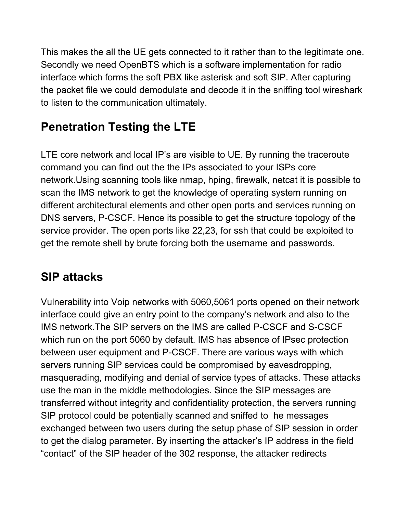This makes the all the UE gets connected to it rather than to the legitimate one. Secondly we need OpenBTS which is a software implementation for radio interface which forms the soft PBX like asterisk and soft SIP. After capturing the packet file we could demodulate and decode it in the sniffing tool wireshark to listen to the communication ultimately.

# **Penetration Testing the LTE**

LTE core network and local IP's are visible to UE. By running the traceroute command you can find out the the IPs associated to your ISPs core network.Using scanning tools like nmap, hping, firewalk, netcat it is possible to scan the IMS network to get the knowledge of operating system running on different architectural elements and other open ports and services running on DNS servers, P-CSCF. Hence its possible to get the structure topology of the service provider. The open ports like 22,23, for ssh that could be exploited to get the remote shell by brute forcing both the username and passwords.

# **SIP attacks**

Vulnerability into Voip networks with 5060,5061 ports opened on their network interface could give an entry point to the company's network and also to the IMS network. The SIP servers on the IMS are called P-CSCF and S-CSCF which run on the port 5060 by default. IMS has absence of IPsec protection between user equipment and P-CSCF. There are various ways with which servers running SIP services could be compromised by eavesdropping, masquerading, modifying and denial of service types of attacks. These attacks use the man in the middle methodologies. Since the SIP messages are transferred without integrity and confidentiality protection, the servers running SIP protocol could be potentially scanned and sniffed to he messages exchanged between two users during the setup phase of SIP session in order to get the dialog parameter. By inserting the attacker's IP address in the field "contact" of the SIP header of the 302 response, the attacker redirects